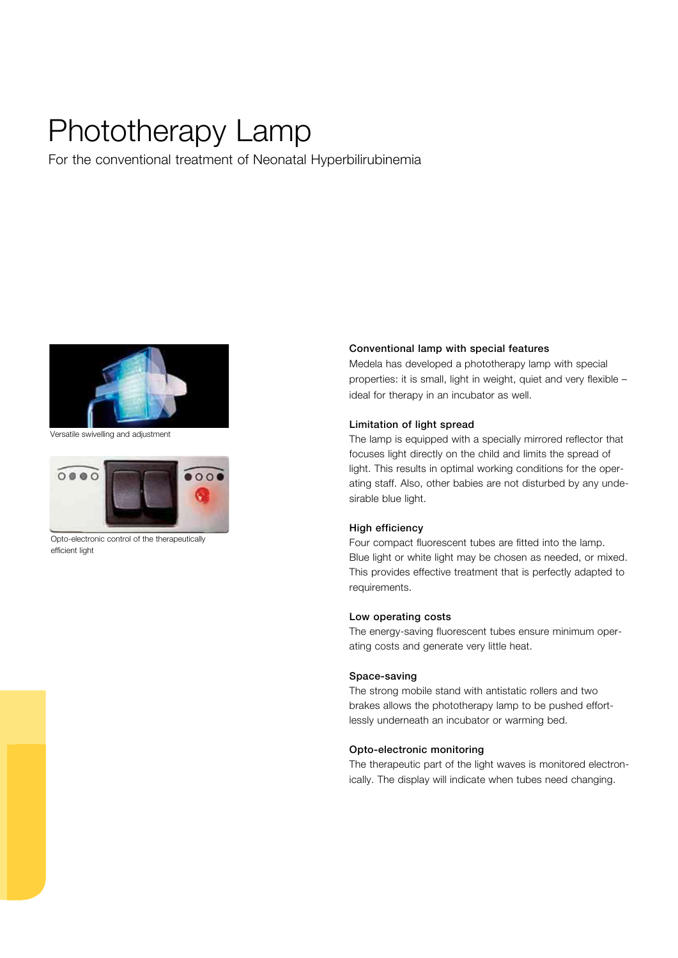## Phototherapy Lamp

For the conventional treatment of Neonatal Hyperbilirubinemia



Versatile swivelling and adjustment



Opto-electronic control of the therapeutically efficient light

#### Conventional lamp with special features

Medela has developed a phototherapy lamp with special properties: it is small, light in weight, quiet and very flexible – ideal for therapy in an incubator as well.

#### Limitation of light spread

The lamp is equipped with a specially mirrored reflector that focuses light directly on the child and limits the spread of light. This results in optimal working conditions for the operating staff. Also, other babies are not disturbed by any undesirable blue light.

## High efficiency

Four compact fluorescent tubes are fitted into the lamp. Blue light or white light may be chosen as needed, or mixed. This provides effective treatment that is perfectly adapted to requirements.

#### Low operating costs

The energy-saving fluorescent tubes ensure minimum operating costs and generate very little heat.

#### Space-saving

The strong mobile stand with antistatic rollers and two brakes allows the phototherapy lamp to be pushed effortlessly underneath an incubator or warming bed.

#### Opto-electronic monitoring

The therapeutic part of the light waves is monitored electronically. The display will indicate when tubes need changing.